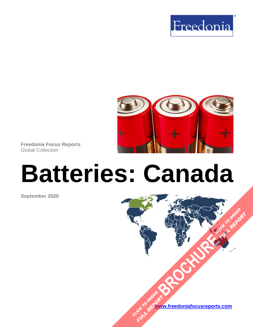



**Freedonia Focus Reports** Global Collection

# **Batteries: Canada**

**September 2020**

**[www.freedoniafocusreports.com](https://www.freedoniafocusreports.com/redirect.asp?progid=89534&url=/)** CLICK TO ORDER **FULL REPORT** 

**[BROCHURE](https://www.freedoniafocusreports.com/Batteries-Canada-FA45011/?progid=89541) CLICK TO ORDER** 

**FULL REPORT**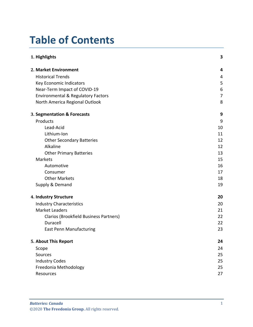# **Table of Contents**

| 1. Highlights                                 | 3  |
|-----------------------------------------------|----|
| 2. Market Environment                         | 4  |
| <b>Historical Trends</b>                      | 4  |
| Key Economic Indicators                       | 5  |
| Near-Term Impact of COVID-19                  | 6  |
| <b>Environmental &amp; Regulatory Factors</b> | 7  |
| North America Regional Outlook                | 8  |
| 3. Segmentation & Forecasts                   | 9  |
| Products                                      | 9  |
| Lead-Acid                                     | 10 |
| Lithium-Ion                                   | 11 |
| <b>Other Secondary Batteries</b>              | 12 |
| Alkaline                                      | 12 |
| <b>Other Primary Batteries</b>                | 13 |
| Markets                                       | 15 |
| Automotive                                    | 16 |
| Consumer                                      | 17 |
| <b>Other Markets</b>                          | 18 |
| Supply & Demand                               | 19 |
| 4. Industry Structure                         | 20 |
| <b>Industry Characteristics</b>               | 20 |
| <b>Market Leaders</b>                         | 21 |
| Clarios (Brookfield Business Partners)        | 22 |
| Duracell                                      | 22 |
| <b>East Penn Manufacturing</b>                | 23 |
| 5. About This Report                          | 24 |
| Scope                                         | 24 |
| Sources                                       | 25 |
| <b>Industry Codes</b>                         | 25 |
| Freedonia Methodology                         | 25 |
| Resources                                     | 27 |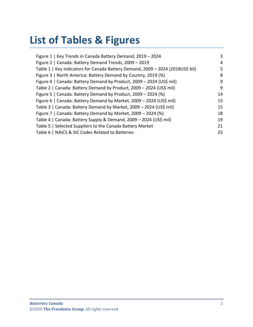# **List of Tables & Figures**

| Figure 1   Key Trends in Canada Battery Demand, 2019 - 2024                    | 3              |
|--------------------------------------------------------------------------------|----------------|
| Figure 2   Canada: Battery Demand Trends, 2009 - 2019                          | $\overline{4}$ |
| Table 1   Key Indicators for Canada Battery Demand, 2009 - 2024 (2018US\$ bil) | 5              |
| Figure 3   North America: Battery Demand by Country, 2019 (%)                  | 8              |
| Figure 4   Canada: Battery Demand by Product, 2009 - 2024 (US\$ mil)           | 9              |
| Table 2   Canada: Battery Demand by Product, 2009 - 2024 (US\$ mil)            | 9              |
| Figure 5   Canada: Battery Demand by Product, 2009 - 2024 (%)                  | 14             |
| Figure 6   Canada: Battery Demand by Market, 2009 - 2024 (US\$ mil)            | 15             |
| Table 3   Canada: Battery Demand by Market, 2009 - 2024 (US\$ mil)             | 15             |
| Figure 7   Canada: Battery Demand by Market, 2009 - 2024 (%)                   | 18             |
| Table 4   Canada: Battery Supply & Demand, 2009 - 2024 (US\$ mil)              | 19             |
| Table 5   Selected Suppliers to the Canada Battery Market                      | 21             |
| Table 6   NAICS & SIC Codes Related to Batteries                               | 25             |
|                                                                                |                |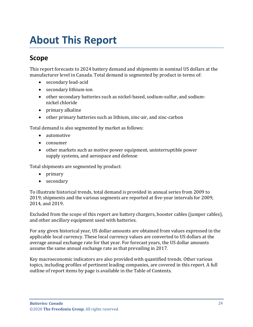# <span id="page-3-0"></span>**About This Report**

# <span id="page-3-1"></span>**Scope**

This report forecasts to 2024 battery demand and shipments in nominal US dollars at the manufacturer level in Canada. Total demand is segmented by product in terms of:

- secondary lead-acid
- secondary lithium-ion
- other secondary batteries such as nickel-based, sodium-sulfur, and sodiumnickel chloride
- primary alkaline
- other primary batteries such as lithium, zinc-air, and zinc-carbon

Total demand is also segmented by market as follows:

- automotive
- consumer
- other markets such as motive power equipment, uninterruptible power supply systems, and aerospace and defense

Total shipments are segmented by product:

- primary
- secondary

To illustrate historical trends, total demand is provided in annual series from 2009 to 2019; shipments and the various segments are reported at five-year intervals for 2009, 2014, and 2019.

Excluded from the scope of this report are battery chargers, booster cables (jumper cables), and other ancillary equipment used with batteries.

For any given historical year, US dollar amounts are obtained from values expressed in the applicable local currency. These local currency values are converted to US dollars at the average annual exchange rate for that year. For forecast years, the US dollar amounts assume the same annual exchange rate as that prevailing in 2017.

Key macroeconomic indicators are also provided with quantified trends. Other various topics, including profiles of pertinent leading companies, are covered in this report. A full outline of report items by page is available in the Table of Contents.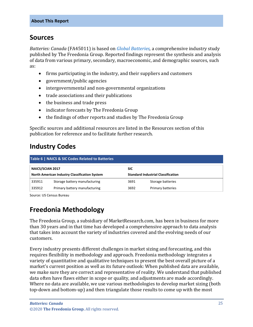### <span id="page-4-0"></span>**Sources**

*Batteries: Canada* (FA45011) is based on *[Global Batteries,](http://www.freedoniagroup.com/DocumentDetails.aspx?ReferrerId=FL-FOCUS&studyid=3875)* a comprehensive industry study published by The Freedonia Group. Reported findings represent the synthesis and analysis of data from various primary, secondary, macroeconomic, and demographic sources, such as:

- firms participating in the industry, and their suppliers and customers
- government/public agencies
- intergovernmental and non-governmental organizations
- trade associations and their publications
- the business and trade press
- indicator forecasts by The Freedonia Group
- the findings of other reports and studies by The Freedonia Group

Specific sources and additional resources are listed in the Resources section of this publication for reference and to facilitate further research.

### <span id="page-4-1"></span>**Industry Codes**

<span id="page-4-3"></span>

| Table 6   NAICS & SIC Codes Related to Batteries |                               |                                           |                   |  |  |
|--------------------------------------------------|-------------------------------|-------------------------------------------|-------------------|--|--|
| <b>NAICS/SCIAN 2017</b>                          |                               | <b>SIC</b>                                |                   |  |  |
| North American Industry Classification System    |                               | <b>Standard Industrial Classification</b> |                   |  |  |
| 335911                                           | Storage battery manufacturing | 3691                                      | Storage batteries |  |  |
| 335912                                           | Primary battery manufacturing | 3692                                      | Primary batteries |  |  |

Source: US Census Bureau

# <span id="page-4-2"></span>**Freedonia Methodology**

The Freedonia Group, a subsidiary of MarketResearch.com, has been in business for more than 30 years and in that time has developed a comprehensive approach to data analysis that takes into account the variety of industries covered and the evolving needs of our customers.

Every industry presents different challenges in market sizing and forecasting, and this requires flexibility in methodology and approach. Freedonia methodology integrates a variety of quantitative and qualitative techniques to present the best overall picture of a market's current position as well as its future outlook: When published data are available, we make sure they are correct and representative of reality. We understand that published data often have flaws either in scope or quality, and adjustments are made accordingly. Where no data are available, we use various methodologies to develop market sizing (both top-down and bottom-up) and then triangulate those results to come up with the most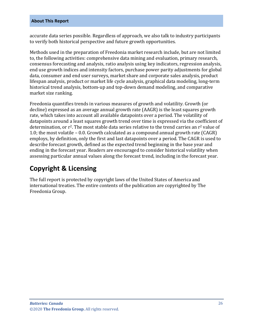#### **About This Report**

accurate data series possible. Regardless of approach, we also talk to industry participants to verify both historical perspective and future growth opportunities.

Methods used in the preparation of Freedonia market research include, but are not limited to, the following activities: comprehensive data mining and evaluation, primary research, consensus forecasting and analysis, ratio analysis using key indicators, regression analysis, end use growth indices and intensity factors, purchase power parity adjustments for global data, consumer and end user surveys, market share and corporate sales analysis, product lifespan analysis, product or market life cycle analysis, graphical data modeling, long-term historical trend analysis, bottom-up and top-down demand modeling, and comparative market size ranking.

Freedonia quantifies trends in various measures of growth and volatility. Growth (or decline) expressed as an average annual growth rate (AAGR) is the least squares growth rate, which takes into account all available datapoints over a period. The volatility of datapoints around a least squares growth trend over time is expressed via the coefficient of determination, or r<sup>2</sup>. The most stable data series relative to the trend carries an r<sup>2</sup> value of 1.0; the most volatile – 0.0. Growth calculated as a compound annual growth rate (CAGR) employs, by definition, only the first and last datapoints over a period. The CAGR is used to describe forecast growth, defined as the expected trend beginning in the base year and ending in the forecast year. Readers are encouraged to consider historical volatility when assessing particular annual values along the forecast trend, including in the forecast year.

# **Copyright & Licensing**

The full report is protected by copyright laws of the United States of America and international treaties. The entire contents of the publication are copyrighted by The Freedonia Group.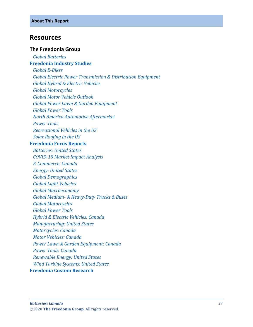### <span id="page-6-0"></span>**Resources**

#### **The Freedonia Group**

 *[Global Batteries](http://www.freedoniagroup.com/DocumentDetails.aspx?ReferrerId=FL-FOCUS&studyid=3875)* **[Freedonia Industry Studies](http://www.freedoniagroup.com/Home.aspx?ReferrerId=FL-Focus)**  *[Global E-Bikes](http://www.freedoniagroup.com/DocumentDetails.aspx?ReferrerId=FL-FOCUS&studyid=3867) [Global Electric Power Transmission & Distribution Equipment](http://www.freedoniagroup.com/DocumentDetails.aspx?ReferrerId=FL-FOCUS&studyid=3805) [Global Hybrid & Electric Vehicles](http://www.freedoniagroup.com/DocumentDetails.aspx?ReferrerId=FL-FOCUS&studyid=3627) [Global Motorcycles](http://www.freedoniagroup.com/DocumentDetails.aspx?ReferrerId=FL-FOCUS&studyid=3827) [Global Motor Vehicle Outlook](http://www.freedoniagroup.com/DocumentDetails.aspx?ReferrerId=FL-FOCUS&studyid=3838) [Global Power Lawn & Garden Equipment](http://www.freedoniagroup.com/DocumentDetails.aspx?ReferrerId=FL-FOCUS&studyid=3747) [Global Power Tools](http://www.freedoniagroup.com/DocumentDetails.aspx?ReferrerId=FL-FOCUS&studyid=3716) [North America Automotive Aftermarket](http://www.freedoniagroup.com/DocumentDetails.aspx?ReferrerId=FL-FOCUS&studyid=3577) [Power Tools](http://www.freedoniagroup.com/DocumentDetails.aspx?ReferrerId=FL-FOCUS&studyid=3818) [Recreational Vehicles in the US](http://www.freedoniagroup.com/DocumentDetails.aspx?ReferrerId=FL-FOCUS&studyid=3624) [Solar Roofing in the US](http://www.freedoniagroup.com/DocumentDetails.aspx?ReferrerId=FL-FOCUS&studyid=3616)* **[Freedonia Focus Reports](https://www.freedoniafocusreports.com/redirect.asp?progid=89534&url=/)**  *[Batteries: United States](https://www.freedoniafocusreports.com/Batteries-United-States-FF45011/?progid=89534) [COVID-19 Market Impact](https://www.freedoniafocusreports.com/COVID-19-Market-Impact-Analysis-FW95079/?progid=89534) Analysis [E-Commerce: Canada](https://www.freedoniafocusreports.com/E-Commerce-Canada-FA90043/?progid=89534) [Energy: United States](https://www.freedoniafocusreports.com/Energy-United-States-FF45043/?progid=89534) [Global Demographics](https://www.freedoniafocusreports.com/Global-Demographics-FW95050/?progid=89534) [Global Light Vehicles](https://www.freedoniafocusreports.com/Global-Light-Vehicles-FW85015/?progid=89534) [Global Macroeconomy](https://www.freedoniafocusreports.com/Global-Macroeconomy-FW95051/?progid=89534) Global Medium- [& Heavy-Duty Trucks & Buses](https://www.freedoniafocusreports.com/Global-Medium-Heavy-Duty-Trucks-Buses-FW85014/?progid=89534) [Global Motorcycles](https://www.freedoniafocusreports.com/Global-Motorcycles-FW85016/?progid=89534) [Global Power Tools](https://www.freedoniafocusreports.com/Global-Power-Tools-FW75025/?progid=89534) [Hybrid & Electric Vehicles: Canada](https://www.freedoniafocusreports.com/Hybrid-Electric-Vehicles-Canada-FA85023/?progid=89534) [Manufacturing: United States](https://www.freedoniafocusreports.com/Manufacturing-United-States-FF70032/?progid=89534) [Motorcycles: Canada](https://www.freedoniafocusreports.com/Motorcycles-Canada-FA85016/?progid=89534) [Motor Vehicles: Canada](https://www.freedoniafocusreports.com/Motor-Vehicles-Canada-FA85029/?progid=89534) [Power Lawn & Garden Equipment: Canada](https://www.freedoniafocusreports.com/Power-Lawn-Garden-Equipment-Canada-FA90016/?progid=89534) [Power Tools: Canada](https://www.freedoniafocusreports.com/Power-Tools-Canada-FA75025/?progid=89534) [Renewable Energy: United States](https://www.freedoniafocusreports.com/Renewable-Energy-United-States-FF45041/?progid=89534) [Wind Turbine Systems: United States](https://www.freedoniafocusreports.com/Wind-Turbine-Systems-United-States-FF45037/?progid=89534)*

#### **[Freedonia Custom Research](http://www.freedoniagroup.com/CustomResearch.aspx?ReferrerId=FL-Focus)**